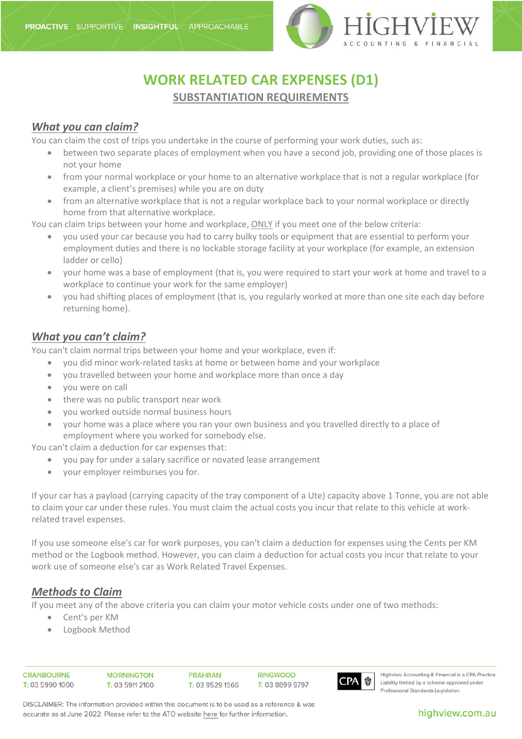

# **WORK RELATED CAR EXPENSES (D1) SUBSTANTIATION REQUIREMENTS**

### *What you can claim?*

You can claim the cost of trips you undertake in the course of performing your work duties, such as:

- between two separate places of employment when you have a second job, providing one of those places is not your home
- from your normal workplace or your home to an alternative workplace that is not a regular workplace (for example, a client's premises) while you are on duty
- from an alternative workplace that is not a regular workplace back to your normal workplace or directly home from that alternative workplace.

You can claim trips between your home and workplace, ONLY if you meet one of the below criteria:

- you used your car because you had to carry bulky tools or equipment that are essential to perform your employment duties and there is no lockable storage facility at your workplace (for example, an extension ladder or cello)
- your home was a base of employment (that is, you were required to start your work at home and travel to a workplace to continue your work for the same employer)
- you had shifting places of employment (that is, you regularly worked at more than one site each day before returning home).

#### *What you can't claim?*

You can't claim normal trips between your home and your workplace, even if:

- you did minor work-related tasks at home or between home and your workplace
- you travelled between your home and workplace more than once a day
- you were on call
- there was no public transport near work
- you worked outside normal business hours
- your home was a place where you ran your own business and you travelled directly to a place of employment where you worked for somebody else.

You can't claim a deduction for car expenses that:

- you pay for under a salary sacrifice or novated lease arrangement
- your employer reimburses you for.

If your car has a payload (carrying capacity of the tray component of a Ute) capacity above 1 Tonne, you are not able to claim your car under these rules. You must claim the actual costs you incur that relate to this vehicle at [work](https://www.ato.gov.au/mytax22WorkRelatedTravelExpenses)[related travel expenses.](https://www.ato.gov.au/mytax22WorkRelatedTravelExpenses)

If you use [someone else's](https://www.ato.gov.au/Individuals/Income-and-deductions/Deductions-you-can-claim/Transport-and-travel-expenses/Car-expenses/?anchor=Usingsomeoneelsescar#Usingsomeoneelsescar) car for work purposes, you can't claim a deduction for expenses using the Cents per KM method or the Logbook method. However, you can claim a deduction for actual costs you incur that relate to your work use of someone else's car as [Work Related Travel Expenses.](https://www.ato.gov.au/mytax22WorkRelatedTravelExpenses)

#### *Methods to Claim*

If you meet any of the above criteria you can claim your motor vehicle costs under one of two methods:

- Cent's per KM
- Logbook Method

| CRANBOURNE      |  |
|-----------------|--|
| Г: 03 5990 1000 |  |

**PRAHRAN** T: 03 9529 1566 **RINGWOOD** T: 03 8899 9797



Highview Accounting & Financial is a CPA Practice Liability limited by a scheme approved under Professional Standards Legislation

DISCLAIMER: The information provided within this document is to be used as a reference & was accurate as at June 2022. Please refer to the ATO website here for further information.

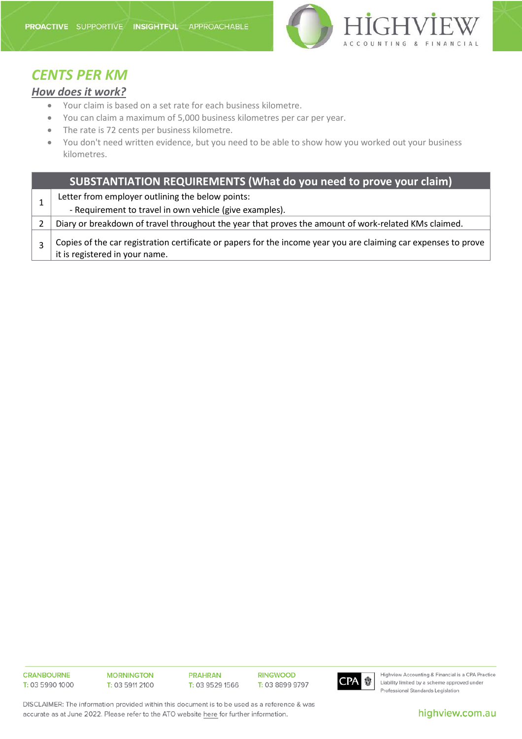

## *CENTS PER KM*

### *How does it work?*

- Your claim is based on a set rate for each business kilometre.
- You can claim a maximum of 5,000 business kilometres per car per year.
- The rate is 72 cents per business kilometre.
- You don't need written evidence, but you need to be able to show how you worked out your business kilometres.

|  | SUBSTANTIATION REQUIREMENTS (What do you need to prove your claim)                                                                                |
|--|---------------------------------------------------------------------------------------------------------------------------------------------------|
|  | Letter from employer outlining the below points:                                                                                                  |
|  | - Requirement to travel in own vehicle (give examples).                                                                                           |
|  | Diary or breakdown of travel throughout the year that proves the amount of work-related KMs claimed.                                              |
|  | Copies of the car registration certificate or papers for the income year you are claiming car expenses to prove<br>it is registered in your name. |

**CRANBOURNE** T: 03 5990 1000 **MORNINGTON** T: 03 5911 2100 **PRAHRAN** T: 03 9529 1566 **RINGWOOD** T: 03 8899 9797



Highview Accounting & Financial is a CPA Practice Liability limited by a scheme approved under Professional Standards Legislation

DISCLAIMER: The information provided within this document is to be used as a reference & was accurate as at June 2022. Please refer to the ATO website here for further information.